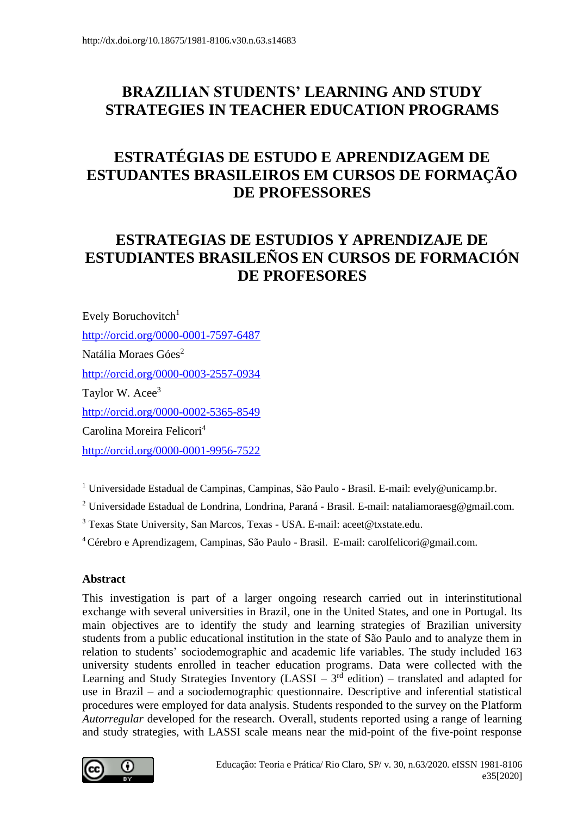# **BRAZILIAN STUDENTS' LEARNING AND STUDY STRATEGIES IN TEACHER EDUCATION PROGRAMS**

# **ESTRATÉGIAS DE ESTUDO E APRENDIZAGEM DE ESTUDANTES BRASILEIROS EM CURSOS DE FORMAÇÃO DE PROFESSORES**

# **ESTRATEGIAS DE ESTUDIOS Y APRENDIZAJE DE ESTUDIANTES BRASILEÑOS EN CURSOS DE FORMACIÓN DE PROFESORES**

Evely Boruchovitch<sup>1</sup> <http://orcid.org/0000-0001-7597-6487> Natália Moraes Góes<sup>2</sup> <http://orcid.org/0000-0003-2557-0934> Taylor W. Acee<sup>3</sup> <http://orcid.org/0000-0002-5365-8549> Carolina Moreira Felicori<sup>4</sup> <http://orcid.org/0000-0001-9956-7522>

<sup>1</sup> Universidade Estadual de Campinas, Campinas, São Paulo - Brasil. E-mail: evely@unicamp.br.

<sup>2</sup> Universidade Estadual de Londrina, Londrina, Paraná - Brasil. E-mail: nataliamoraesg@gmail.com.

<sup>3</sup> Texas State University, San Marcos, Texas - USA. E-mail: aceet@txstate.edu.

<sup>4</sup>Cérebro e Aprendizagem, Campinas, São Paulo - Brasil. E-mail: carolfelicori@gmail.com.

#### **Abstract**

This investigation is part of a larger ongoing research carried out in interinstitutional exchange with several universities in Brazil, one in the United States, and one in Portugal. Its main objectives are to identify the study and learning strategies of Brazilian university students from a public educational institution in the state of São Paulo and to analyze them in relation to students' sociodemographic and academic life variables. The study included 163 university students enrolled in teacher education programs. Data were collected with the Learning and Study Strategies Inventory (LASSI  $-3<sup>rd</sup>$  edition) – translated and adapted for use in Brazil – and a sociodemographic questionnaire. Descriptive and inferential statistical procedures were employed for data analysis. Students responded to the survey on the Platform *Autorregular* developed for the research. Overall, students reported using a range of learning and study strategies, with LASSI scale means near the mid-point of the five-point response

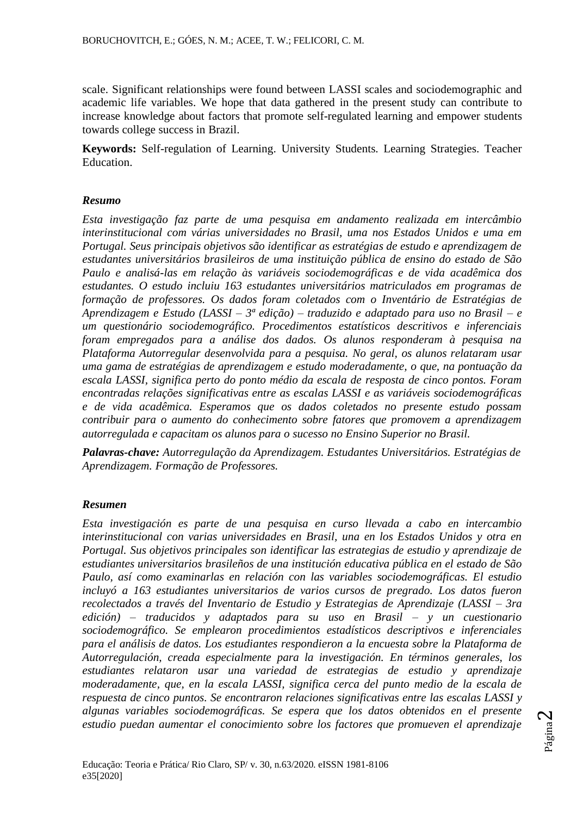scale. Significant relationships were found between LASSI scales and sociodemographic and academic life variables. We hope that data gathered in the present study can contribute to increase knowledge about factors that promote self-regulated learning and empower students towards college success in Brazil.

**Keywords:** Self-regulation of Learning. University Students. Learning Strategies. Teacher Education.

#### *Resumo*

*Esta investigação faz parte de uma pesquisa em andamento realizada em intercâmbio interinstitucional com várias universidades no Brasil, uma nos Estados Unidos e uma em Portugal. Seus principais objetivos são identificar as estratégias de estudo e aprendizagem de estudantes universitários brasileiros de uma instituição pública de ensino do estado de São Paulo e analisá-las em relação às variáveis sociodemográficas e de vida acadêmica dos estudantes. O estudo incluiu 163 estudantes universitários matriculados em programas de formação de professores. Os dados foram coletados com o Inventário de Estratégias de Aprendizagem e Estudo (LASSI – 3ª edição) – traduzido e adaptado para uso no Brasil – e um questionário sociodemográfico. Procedimentos estatísticos descritivos e inferenciais foram empregados para a análise dos dados. Os alunos responderam à pesquisa na Plataforma Autorregular desenvolvida para a pesquisa. No geral, os alunos relataram usar uma gama de estratégias de aprendizagem e estudo moderadamente, o que, na pontuação da escala LASSI, significa perto do ponto médio da escala de resposta de cinco pontos. Foram encontradas relações significativas entre as escalas LASSI e as variáveis sociodemográficas e de vida acadêmica. Esperamos que os dados coletados no presente estudo possam contribuir para o aumento do conhecimento sobre fatores que promovem a aprendizagem autorregulada e capacitam os alunos para o sucesso no Ensino Superior no Brasil.*

*Palavras-chave: Autorregulação da Aprendizagem. Estudantes Universitários. Estratégias de Aprendizagem. Formação de Professores.*

#### *Resumen*

*Esta investigación es parte de una pesquisa en curso llevada a cabo en intercambio interinstitucional con varias universidades en Brasil, una en los Estados Unidos y otra en Portugal. Sus objetivos principales son identificar las estrategias de estudio y aprendizaje de estudiantes universitarios brasileños de una institución educativa pública en el estado de São Paulo, así como examinarlas en relación con las variables sociodemográficas. El estudio incluyó a 163 estudiantes universitarios de varios cursos de pregrado. Los datos fueron recolectados a través del Inventario de Estudio y Estrategias de Aprendizaje (LASSI – 3ra edición) – traducidos y adaptados para su uso en Brasil – y un cuestionario sociodemográfico. Se emplearon procedimientos estadísticos descriptivos e inferenciales para el análisis de datos. Los estudiantes respondieron a la encuesta sobre la Plataforma de Autorregulación, creada especialmente para la investigación. En términos generales, los estudiantes relataron usar una variedad de estrategias de estudio y aprendizaje moderadamente, que, en la escala LASSI, significa cerca del punto medio de la escala de respuesta de cinco puntos. Se encontraron relaciones significativas entre las escalas LASSI y algunas variables sociodemográficas. Se espera que los datos obtenidos en el presente estudio puedan aumentar el conocimiento sobre los factores que promueven el aprendizaje*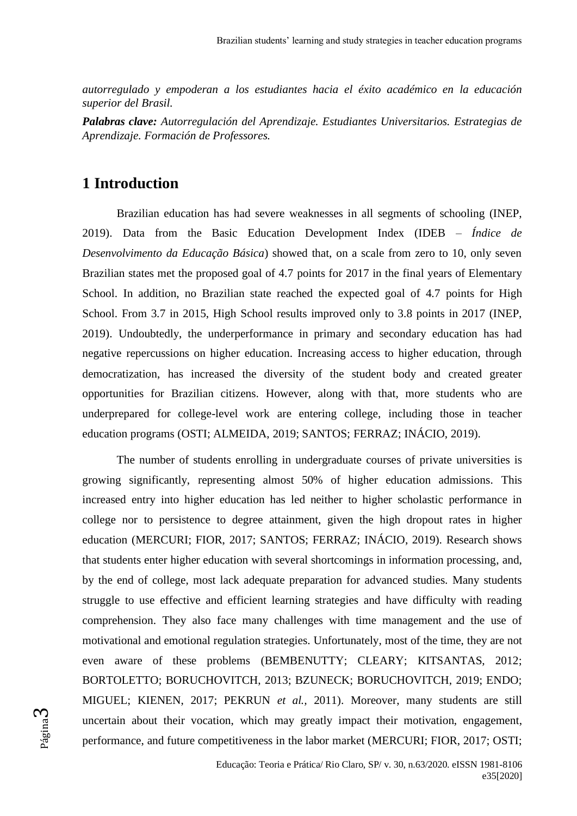*autorregulado y empoderan a los estudiantes hacia el éxito académico en la educación superior del Brasil.*

*Palabras clave: Autorregulación del Aprendizaje. Estudiantes Universitarios. Estrategias de Aprendizaje. Formación de Professores.*

## **1 Introduction**

Brazilian education has had severe weaknesses in all segments of schooling (INEP, 2019). Data from the Basic Education Development Index (IDEB – *Índice de Desenvolvimento da Educação Básica*) showed that, on a scale from zero to 10, only seven Brazilian states met the proposed goal of 4.7 points for 2017 in the final years of Elementary School. In addition, no Brazilian state reached the expected goal of 4.7 points for High School. From 3.7 in 2015, High School results improved only to 3.8 points in 2017 (INEP, 2019). Undoubtedly, the underperformance in primary and secondary education has had negative repercussions on higher education. Increasing access to higher education, through democratization, has increased the diversity of the student body and created greater opportunities for Brazilian citizens. However, along with that, more students who are underprepared for college-level work are entering college, including those in teacher education programs (OSTI; ALMEIDA, 2019; SANTOS; FERRAZ; INÁCIO, 2019).

The number of students enrolling in undergraduate courses of private universities is growing significantly, representing almost 50% of higher education admissions. This increased entry into higher education has led neither to higher scholastic performance in college nor to persistence to degree attainment, given the high dropout rates in higher education (MERCURI; FIOR, 2017; SANTOS; FERRAZ; INÁCIO, 2019). Research shows that students enter higher education with several shortcomings in information processing, and, by the end of college, most lack adequate preparation for advanced studies. Many students struggle to use effective and efficient learning strategies and have difficulty with reading comprehension. They also face many challenges with time management and the use of motivational and emotional regulation strategies. Unfortunately, most of the time, they are not even aware of these problems (BEMBENUTTY; CLEARY; KITSANTAS, 2012; BORTOLETTO; BORUCHOVITCH, 2013; BZUNECK; BORUCHOVITCH, 2019; ENDO; MIGUEL; KIENEN, 2017; PEKRUN *et al.,* 2011). Moreover, many students are still uncertain about their vocation, which may greatly impact their motivation, engagement, performance, and future competitiveness in the labor market (MERCURI; FIOR, 2017; OSTI;

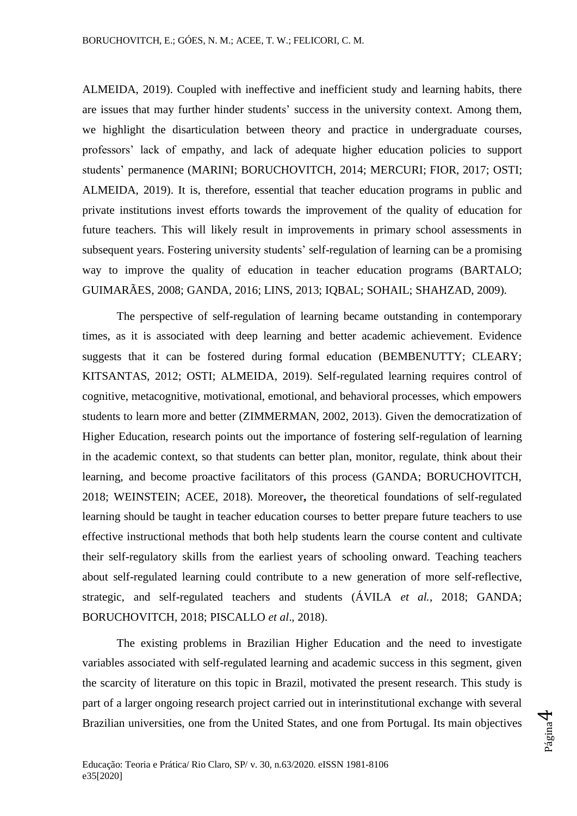ALMEIDA, 2019). Coupled with ineffective and inefficient study and learning habits, there are issues that may further hinder students' success in the university context. Among them, we highlight the disarticulation between theory and practice in undergraduate courses, professors' lack of empathy, and lack of adequate higher education policies to support students' permanence (MARINI; BORUCHOVITCH, 2014; MERCURI; FIOR, 2017; OSTI; ALMEIDA, 2019). It is, therefore, essential that teacher education programs in public and private institutions invest efforts towards the improvement of the quality of education for future teachers. This will likely result in improvements in primary school assessments in subsequent years. Fostering university students' self-regulation of learning can be a promising way to improve the quality of education in teacher education programs (BARTALO; GUIMARÃES, 2008; GANDA, 2016; LINS, 2013; IQBAL; SOHAIL; SHAHZAD, 2009).

The perspective of self-regulation of learning became outstanding in contemporary times, as it is associated with deep learning and better academic achievement. Evidence suggests that it can be fostered during formal education (BEMBENUTTY; CLEARY; KITSANTAS, 2012; OSTI; ALMEIDA, 2019). Self-regulated learning requires control of cognitive, metacognitive, motivational, emotional, and behavioral processes, which empowers students to learn more and better (ZIMMERMAN, 2002, 2013). Given the democratization of Higher Education, research points out the importance of fostering self-regulation of learning in the academic context, so that students can better plan, monitor, regulate, think about their learning, and become proactive facilitators of this process (GANDA; BORUCHOVITCH, 2018; WEINSTEIN; ACEE, 2018). Moreover**,** the theoretical foundations of self-regulated learning should be taught in teacher education courses to better prepare future teachers to use effective instructional methods that both help students learn the course content and cultivate their self-regulatory skills from the earliest years of schooling onward. Teaching teachers about self-regulated learning could contribute to a new generation of more self-reflective, strategic, and self-regulated teachers and students (ÁVILA *et al.*, 2018; GANDA; BORUCHOVITCH, 2018; PISCALLO *et al*., 2018).

The existing problems in Brazilian Higher Education and the need to investigate variables associated with self-regulated learning and academic success in this segment, given the scarcity of literature on this topic in Brazil, motivated the present research. This study is part of a larger ongoing research project carried out in interinstitutional exchange with several Brazilian universities, one from the United States, and one from Portugal. Its main objectives

Página 4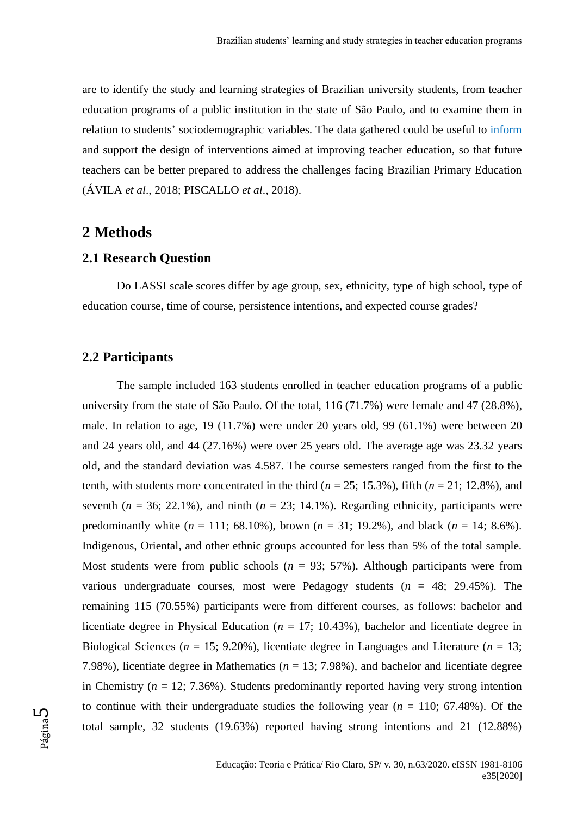are to identify the study and learning strategies of Brazilian university students, from teacher education programs of a public institution in the state of São Paulo, and to examine them in relation to students' sociodemographic variables. The data gathered could be useful to inform and support the design of interventions aimed at improving teacher education, so that future teachers can be better prepared to address the challenges facing Brazilian Primary Education (ÁVILA *et al*., 2018; PISCALLO *et al*., 2018).

### **2 Methods**

### **2.1 Research Question**

Do LASSI scale scores differ by age group, sex, ethnicity, type of high school, type of education course, time of course, persistence intentions, and expected course grades?

#### **2.2 Participants**

The sample included 163 students enrolled in teacher education programs of a public university from the state of São Paulo. Of the total, 116 (71.7%) were female and 47 (28.8%), male. In relation to age, 19 (11.7%) were under 20 years old, 99 (61.1%) were between 20 and 24 years old, and 44 (27.16%) were over 25 years old. The average age was 23.32 years old, and the standard deviation was 4.587. The course semesters ranged from the first to the tenth, with students more concentrated in the third ( $n = 25$ ; 15.3%), fifth ( $n = 21$ ; 12.8%), and seventh  $(n = 36; 22.1\%)$ , and ninth  $(n = 23; 14.1\%)$ . Regarding ethnicity, participants were predominantly white  $(n = 111; 68.10\%)$ , brown  $(n = 31; 19.2\%)$ , and black  $(n = 14; 8.6\%)$ . Indigenous, Oriental, and other ethnic groups accounted for less than 5% of the total sample. Most students were from public schools  $(n = 93; 57%)$ . Although participants were from various undergraduate courses, most were Pedagogy students  $(n = 48; 29.45\%)$ . The remaining 115 (70.55%) participants were from different courses, as follows: bachelor and licentiate degree in Physical Education ( $n = 17$ ; 10.43%), bachelor and licentiate degree in Biological Sciences ( $n = 15$ ; 9.20%), licentiate degree in Languages and Literature ( $n = 13$ ; 7.98%), licentiate degree in Mathematics ( $n = 13$ ; 7.98%), and bachelor and licentiate degree in Chemistry ( $n = 12$ ; 7.36%). Students predominantly reported having very strong intention to continue with their undergraduate studies the following year  $(n = 110; 67.48\%)$ . Of the total sample, 32 students (19.63%) reported having strong intentions and 21 (12.88%)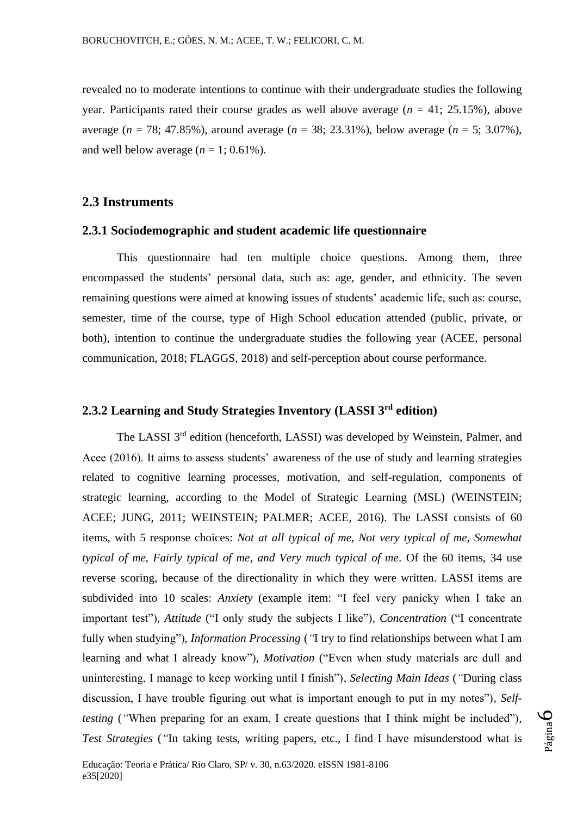revealed no to moderate intentions to continue with their undergraduate studies the following year. Participants rated their course grades as well above average  $(n = 41; 25.15%)$ , above average (*n* = 78; 47.85%), around average (*n* = 38; 23.31%), below average (*n* = 5; 3.07%), and well below average  $(n = 1; 0.61\%)$ .

#### **2.3 Instruments**

e35[2020]

### **2.3.1 Sociodemographic and student academic life questionnaire**

This questionnaire had ten multiple choice questions. Among them, three encompassed the students' personal data, such as: age, gender, and ethnicity. The seven remaining questions were aimed at knowing issues of students' academic life, such as: course, semester, time of the course, type of High School education attended (public, private, or both), intention to continue the undergraduate studies the following year (ACEE, personal communication, 2018; FLAGGS, 2018) and self-perception about course performance.

# **2.3.2 Learning and Study Strategies Inventory (LASSI 3rd edition)**

The LASSI 3<sup>rd</sup> edition (henceforth, LASSI) was developed by Weinstein, Palmer, and Acee (2016). It aims to assess students' awareness of the use of study and learning strategies related to cognitive learning processes, motivation, and self-regulation, components of strategic learning, according to the Model of Strategic Learning (MSL) (WEINSTEIN; ACEE; JUNG, 2011; WEINSTEIN; PALMER; ACEE, 2016). The LASSI consists of 60 items, with 5 response choices: *Not at all typical of me, Not very typical of me, Somewhat typical of me, Fairly typical of me, and Very much typical of me*. Of the 60 items, 34 use reverse scoring, because of the directionality in which they were written. LASSI items are subdivided into 10 scales: *Anxiety* (example item: "I feel very panicky when I take an important test")*, Attitude* ("I only study the subjects I like")*, Concentration* ("I concentrate fully when studying")*, Information Processing* (*"*I try to find relationships between what I am learning and what I already know")*, Motivation* ("Even when study materials are dull and uninteresting, I manage to keep working until I finish")*, Selecting Main Ideas* (*"*During class discussion, I have trouble figuring out what is important enough to put in my notes")*, Selftesting* (*"*When preparing for an exam, I create questions that I think might be included")*, Test Strategies* (*"*In taking tests, writing papers, etc., I find I have misunderstood what is

Página

 $\overline{\mathcal{C}}$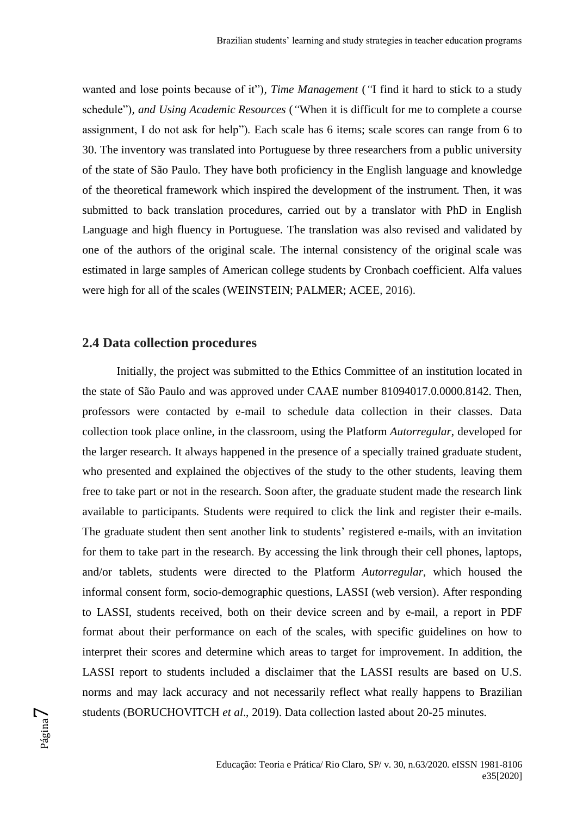wanted and lose points because of it")*, Time Management* (*"*I find it hard to stick to a study schedule")*, and Using Academic Resources* (*"*When it is difficult for me to complete a course assignment, I do not ask for help"). Each scale has 6 items; scale scores can range from 6 to 30. The inventory was translated into Portuguese by three researchers from a public university of the state of São Paulo. They have both proficiency in the English language and knowledge of the theoretical framework which inspired the development of the instrument. Then, it was submitted to back translation procedures, carried out by a translator with PhD in English Language and high fluency in Portuguese. The translation was also revised and validated by one of the authors of the original scale. The internal consistency of the original scale was estimated in large samples of American college students by Cronbach coefficient. Alfa values were high for all of the scales (WEINSTEIN; PALMER; ACEE, 2016).

#### **2.4 Data collection procedures**

Initially, the project was submitted to the Ethics Committee of an institution located in the state of São Paulo and was approved under CAAE number 81094017.0.0000.8142. Then, professors were contacted by e-mail to schedule data collection in their classes. Data collection took place online, in the classroom, using the Platform *Autorregular*, developed for the larger research. It always happened in the presence of a specially trained graduate student, who presented and explained the objectives of the study to the other students, leaving them free to take part or not in the research. Soon after, the graduate student made the research link available to participants. Students were required to click the link and register their e-mails. The graduate student then sent another link to students' registered e-mails, with an invitation for them to take part in the research. By accessing the link through their cell phones, laptops, and/or tablets, students were directed to the Platform *Autorregular*, which housed the informal consent form, socio-demographic questions, LASSI (web version). After responding to LASSI, students received, both on their device screen and by e-mail*,* a report in PDF format about their performance on each of the scales, with specific guidelines on how to interpret their scores and determine which areas to target for improvement. In addition, the LASSI report to students included a disclaimer that the LASSI results are based on U.S. norms and may lack accuracy and not necessarily reflect what really happens to Brazilian students (BORUCHOVITCH *et al*., 2019). Data collection lasted about 20-25 minutes.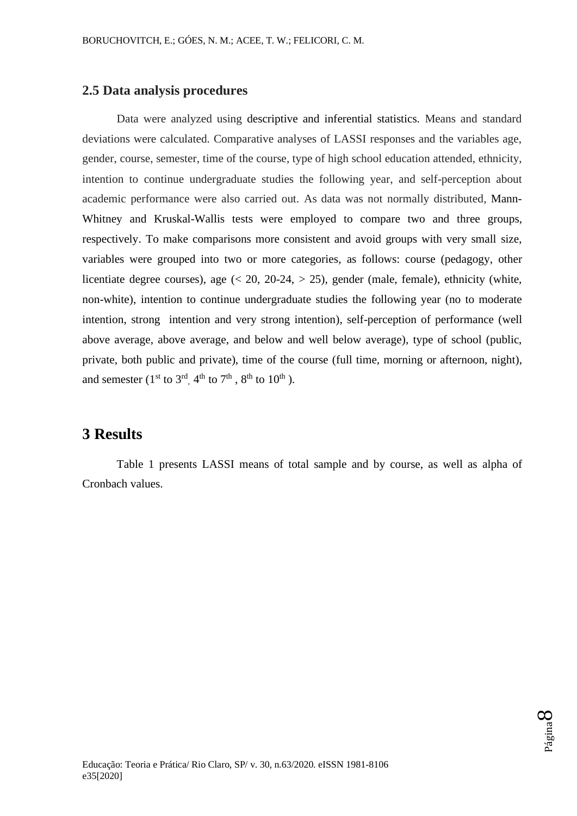### **2.5 Data analysis procedures**

Data were analyzed using descriptive and inferential statistics. Means and standard deviations were calculated. Comparative analyses of LASSI responses and the variables age, gender, course, semester, time of the course, type of high school education attended, ethnicity, intention to continue undergraduate studies the following year, and self-perception about academic performance were also carried out. As data was not normally distributed, Mann-Whitney and Kruskal-Wallis tests were employed to compare two and three groups, respectively. To make comparisons more consistent and avoid groups with very small size, variables were grouped into two or more categories, as follows: course (pedagogy, other licentiate degree courses), age  $(20, 20-24, > 25)$ , gender (male, female), ethnicity (white, non-white), intention to continue undergraduate studies the following year (no to moderate intention, strong intention and very strong intention), self-perception of performance (well above average, above average, and below and well below average), type of school (public, private, both public and private), time of the course (full time, morning or afternoon, night), and semester ( $1<sup>st</sup>$  to  $3<sup>rd</sup>$ ,  $4<sup>th</sup>$  to  $7<sup>th</sup>$ ,  $8<sup>th</sup>$  to  $10<sup>th</sup>$ ).

## **3 Results**

Table 1 presents LASSI means of total sample and by course, as well as alpha of Cronbach values.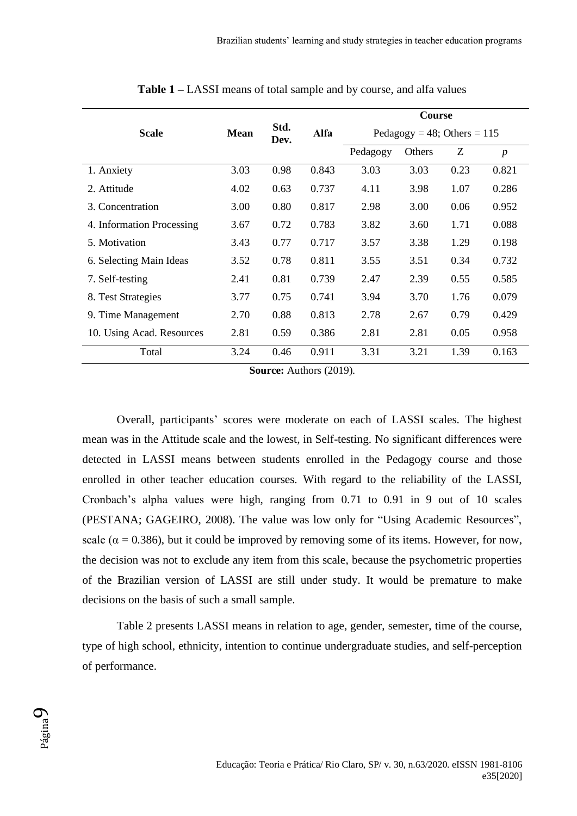|                           |             |              |       | Course                        |        |      |                  |  |  |  |
|---------------------------|-------------|--------------|-------|-------------------------------|--------|------|------------------|--|--|--|
| <b>Scale</b>              | <b>Mean</b> | Std.<br>Dev. | Alfa  | Pedagogy = 48; Others = $115$ |        |      |                  |  |  |  |
|                           |             |              |       | Pedagogy                      | Others | Z    | $\boldsymbol{p}$ |  |  |  |
| 1. Anxiety                | 3.03        | 0.98         | 0.843 | 3.03                          | 3.03   | 0.23 | 0.821            |  |  |  |
| 2. Attitude               | 4.02        | 0.63         | 0.737 | 4.11                          | 3.98   | 1.07 | 0.286            |  |  |  |
| 3. Concentration          | 3.00        | 0.80         | 0.817 | 2.98                          | 3.00   | 0.06 | 0.952            |  |  |  |
| 4. Information Processing | 3.67        | 0.72         | 0.783 | 3.82                          | 3.60   | 1.71 | 0.088            |  |  |  |
| 5. Motivation             | 3.43        | 0.77         | 0.717 | 3.57                          | 3.38   | 1.29 | 0.198            |  |  |  |
| 6. Selecting Main Ideas   | 3.52        | 0.78         | 0.811 | 3.55                          | 3.51   | 0.34 | 0.732            |  |  |  |
| 7. Self-testing           | 2.41        | 0.81         | 0.739 | 2.47                          | 2.39   | 0.55 | 0.585            |  |  |  |
| 8. Test Strategies        | 3.77        | 0.75         | 0.741 | 3.94                          | 3.70   | 1.76 | 0.079            |  |  |  |
| 9. Time Management        | 2.70        | 0.88         | 0.813 | 2.78                          | 2.67   | 0.79 | 0.429            |  |  |  |
| 10. Using Acad. Resources | 2.81        | 0.59         | 0.386 | 2.81                          | 2.81   | 0.05 | 0.958            |  |  |  |
| Total                     | 3.24        | 0.46         | 0.911 | 3.31                          | 3.21   | 1.39 | 0.163            |  |  |  |

**Table 1 –** LASSI means of total sample and by course, and alfa values

**Source:** Authors (2019).

Overall, participants' scores were moderate on each of LASSI scales. The highest mean was in the Attitude scale and the lowest, in Self-testing. No significant differences were detected in LASSI means between students enrolled in the Pedagogy course and those enrolled in other teacher education courses. With regard to the reliability of the LASSI, Cronbach's alpha values were high, ranging from 0.71 to 0.91 in 9 out of 10 scales (PESTANA; GAGEIRO, 2008). The value was low only for "Using Academic Resources", scale ( $\alpha$  = 0.386), but it could be improved by removing some of its items. However, for now, the decision was not to exclude any item from this scale, because the psychometric properties of the Brazilian version of LASSI are still under study. It would be premature to make decisions on the basis of such a small sample.

Table 2 presents LASSI means in relation to age, gender, semester, time of the course, type of high school, ethnicity, intention to continue undergraduate studies, and self-perception of performance.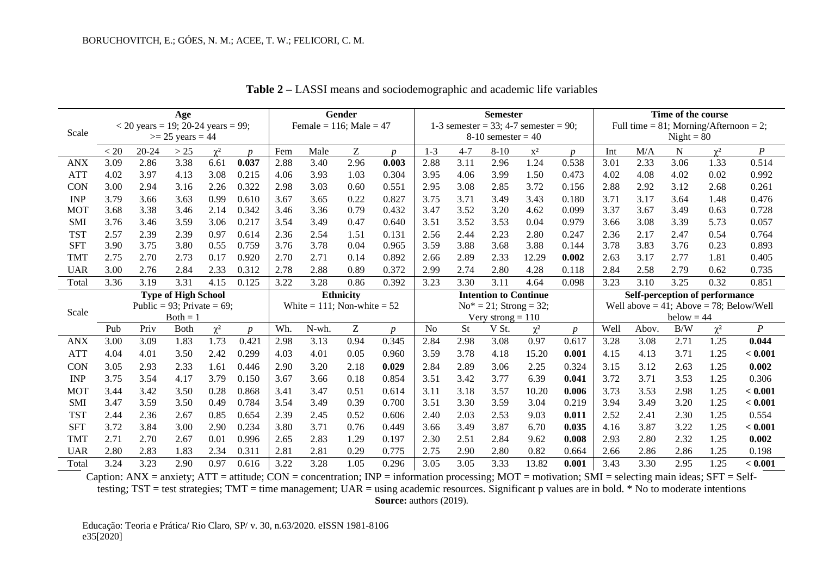| Age        |                                                                     |                               |                            |              | <b>Gender</b>    |                              |                                  | <b>Semester</b>  |                                                               |                |              |                              | Time of the course |                                                           |              |              |              |                                |                                               |
|------------|---------------------------------------------------------------------|-------------------------------|----------------------------|--------------|------------------|------------------------------|----------------------------------|------------------|---------------------------------------------------------------|----------------|--------------|------------------------------|--------------------|-----------------------------------------------------------|--------------|--------------|--------------|--------------------------------|-----------------------------------------------|
|            | $<$ 20 years = 19; 20-24 years = 99;<br>Scale<br>$>= 25$ years = 44 |                               |                            |              |                  | Female = $116$ ; Male = $47$ |                                  |                  | 1-3 semester = 33; 4-7 semester = 90;<br>$8-10$ semester = 40 |                |              |                              |                    | Full time = $81$ ; Morning/Afternoon = 2;<br>$Night = 80$ |              |              |              |                                |                                               |
|            |                                                                     |                               |                            |              |                  |                              |                                  |                  |                                                               |                |              |                              |                    |                                                           |              |              |              |                                |                                               |
|            | < 20                                                                | $20 - 24$                     | >25                        | $\gamma^2$   | $\boldsymbol{n}$ | Fem                          | Male                             | Z                | $\boldsymbol{n}$                                              | $1 - 3$        | $4 - 7$      | $8 - 10$                     | $\mathbf{x}^2$     | <sub>n</sub>                                              | Int          | M/A          | N            | $\gamma^2$                     | $\boldsymbol{P}$                              |
| <b>ANX</b> | 3.09                                                                | 2.86                          | 3.38                       | 6.61         | 0.037            | 2.88                         | 3.40                             | 2.96             | 0.003                                                         | 2.88           | 3.11         | 2.96                         | 1.24               | 0.538                                                     | 3.01         | 2.33         | 3.06         | 1.33                           | 0.514                                         |
| <b>ATT</b> | 4.02                                                                | 3.97                          | 4.13                       | 3.08         | 0.215            | 4.06                         | 3.93                             | 1.03             | 0.304                                                         | 3.95           | 4.06         | 3.99                         | 1.50               | 0.473                                                     | 4.02         | 4.08         | 4.02         | 0.02                           | 0.992                                         |
| <b>CON</b> | 3.00                                                                | 2.94                          | 3.16                       | 2.26         | 0.322            | 2.98                         | 3.03                             | 0.60             | 0.551                                                         | 2.95           | 3.08         | 2.85                         | 3.72               | 0.156                                                     | 2.88         | 2.92         | 3.12         | 2.68                           | 0.261                                         |
| <b>INP</b> | 3.79                                                                | 3.66                          | 3.63                       | 0.99         | 0.610            | 3.67                         | 3.65                             | 0.22             | 0.827                                                         | 3.75           | 3.71         | 3.49                         | 3.43               | 0.180                                                     | 3.71         | 3.17         | 3.64         | 1.48                           | 0.476                                         |
| <b>MOT</b> | 3.68                                                                | 3.38                          | 3.46                       | 2.14         | 0.342            | 3.46                         | 3.36                             | 0.79             | 0.432                                                         | 3.47           | 3.52         | 3.20                         | 4.62               | 0.099                                                     | 3.37         | 3.67         | 3.49         | 0.63                           | 0.728                                         |
| <b>SMI</b> | 3.76                                                                | 3.46                          | 3.59                       | 3.06         | 0.217            | 3.54                         | 3.49                             | 0.47             | 0.640                                                         | 3.51           | 3.52         | 3.53                         | 0.04               | 0.979                                                     | 3.66         | 3.08         | 3.39         | 5.73                           | 0.057                                         |
| <b>TST</b> | 2.57                                                                | 2.39                          | 2.39                       | 0.97         | 0.614            | 2.36                         | 2.54                             | 1.51             | 0.131                                                         | 2.56           | 2.44         | 2.23                         | 2.80               | 0.247                                                     | 2.36         | 2.17         | 2.47         | 0.54                           | 0.764                                         |
| <b>SFT</b> | 3.90                                                                | 3.75                          | 3.80                       | 0.55         | 0.759            | 3.76                         | 3.78                             | 0.04             | 0.965                                                         | 3.59           | 3.88         | 3.68                         | 3.88               | 0.144                                                     | 3.78         | 3.83         | 3.76         | 0.23                           | 0.893                                         |
| <b>TMT</b> | 2.75                                                                | 2.70                          | 2.73                       | 0.17         | 0.920            | 2.70                         | 2.71                             | 0.14             | 0.892                                                         | 2.66           | 2.89         | 2.33                         | 12.29              | 0.002                                                     | 2.63         | 3.17         | 2.77         | 1.81                           | 0.405                                         |
| <b>UAR</b> | 3.00                                                                | 2.76                          | 2.84                       | 2.33         | 0.312            | 2.78                         | 2.88                             | 0.89             | 0.372                                                         | 2.99           | 2.74         | 2.80                         | 4.28               | 0.118                                                     | 2.84         | 2.58         | 2.79         | 0.62                           | 0.735                                         |
| Total      | 3.36                                                                | 3.19                          | 3.31                       | 4.15         | 0.125            | 3.22                         | 3.28                             | 0.86             | 0.392                                                         | 3.23           | 3.30         | 3.11                         | 4.64               | 0.098                                                     | 3.23         | 3.10         | 3.25         | 0.32                           | 0.851                                         |
|            |                                                                     |                               |                            |              |                  |                              |                                  |                  |                                                               |                |              |                              |                    |                                                           |              |              |              |                                |                                               |
|            |                                                                     |                               | <b>Type of High School</b> |              |                  |                              |                                  | <b>Ethnicity</b> |                                                               |                |              | <b>Intention to Continue</b> |                    |                                                           |              |              |              | Self-perception of performance |                                               |
|            |                                                                     | Public = 93; Private = $69$ ; |                            |              |                  |                              | White = $111$ ; Non-white = $52$ |                  |                                                               |                |              | $No^* = 21$ ; Strong = 32;   |                    |                                                           |              |              |              |                                | Well above $= 41$ ; Above $= 78$ ; Below/Well |
| Scale      |                                                                     |                               | $Both = 1$                 |              |                  |                              |                                  |                  |                                                               |                |              | Very strong $= 110$          |                    |                                                           |              |              | $below = 44$ |                                |                                               |
|            | Pub                                                                 | Priv                          | <b>Both</b>                | $\chi^2$     | $\boldsymbol{D}$ | Wh.                          | N-wh.                            | Z                | $\boldsymbol{D}$                                              | N <sub>o</sub> | <b>St</b>    | V St.                        | $\chi^2$           | $\boldsymbol{D}$                                          | Well         | Abov.        | B/W          | $\chi^2$                       | $\boldsymbol{P}$                              |
| <b>ANX</b> | 3.00                                                                | 3.09                          | 1.83                       | 1.73         | 0.421            | 2.98                         | 3.13                             | 0.94             | 0.345                                                         | 2.84           | 2.98         | 3.08                         | 0.97               | 0.617                                                     | 3.28         | 3.08         | 2.71         | 1.25                           | 0.044                                         |
| <b>ATT</b> | 4.04                                                                | 4.01                          | 3.50                       | 2.42         | 0.299            | 4.03                         | 4.01                             | 0.05             | 0.960                                                         | 3.59           | 3.78         | 4.18                         | 15.20              | 0.001                                                     | 4.15         | 4.13         | 3.71         | 1.25                           | < 0.001                                       |
| <b>CON</b> | 3.05                                                                | 2.93                          | 2.33                       | 1.61         | 0.446            | 2.90                         | 3.20                             | 2.18             | 0.029                                                         | 2.84           | 2.89         | 3.06                         | 2.25               | 0.324                                                     | 3.15         | 3.12         | 2.63         | 1.25                           | 0.002                                         |
| <b>INP</b> | 3.75                                                                | 3.54                          | 4.17                       | 3.79         | 0.150            | 3.67                         | 3.66                             | 0.18             | 0.854                                                         | 3.51           | 3.42         | 3.77                         | 6.39               | 0.041                                                     | 3.72         | 3.71         | 3.53         | 1.25                           | 0.306                                         |
| <b>MOT</b> | 3.44                                                                | 3.42                          | 3.50                       | 0.28         | 0.868            | 3.41                         | 3.47                             | 0.51             | 0.614                                                         | 3.11           | 3.18         | 3.57                         | 10.20              | 0.006                                                     | 3.73         | 3.53         | 2.98         | 1.25                           | < 0.001                                       |
| <b>SMI</b> | 3.47                                                                | 3.59                          | 3.50                       | 0.49         | 0.784            | 3.54                         | 3.49                             | 0.39             | 0.700                                                         | 3.51           | 3.30         | 3.59                         | 3.04               | 0.219                                                     | 3.94         | 3.49         | 3.20         | 1.25                           | < 0.001                                       |
| <b>TST</b> | 2.44                                                                | 2.36                          | 2.67                       | 0.85         | 0.654            | 2.39                         | 2.45                             | 0.52             | 0.606                                                         | 2.40           | 2.03         | 2.53                         | 9.03               | 0.011                                                     | 2.52         | 2.41         | 2.30         | 1.25                           | 0.554                                         |
| <b>SFT</b> | 3.72                                                                | 3.84                          | 3.00                       | 2.90         | 0.234            | 3.80                         | 3.71                             | 0.76             | 0.449                                                         | 3.66           | 3.49         | 3.87                         | 6.70               | 0.035                                                     | 4.16         | 3.87         | 3.22         | 1.25                           | < 0.001                                       |
| <b>TMT</b> | 2.71                                                                | 2.70                          | 2.67                       | 0.01         | 0.996            | 2.65                         | 2.83                             | 1.29             | 0.197                                                         | 2.30           | 2.51         | 2.84                         | 9.62               | 0.008                                                     | 2.93         | 2.80         | 2.32         | 1.25                           | 0.002                                         |
| <b>UAR</b> | 2.80<br>3.24                                                        | 2.83<br>3.23                  | 1.83<br>2.90               | 2.34<br>0.97 | 0.311<br>0.616   | 2.81<br>3.22                 | 2.81<br>3.28                     | 0.29<br>1.05     | 0.775<br>0.296                                                | 2.75<br>3.05   | 2.90<br>3.05 | 2.80<br>3.33                 | 0.82<br>13.82      | 0.664<br>0.001                                            | 2.66<br>3.43 | 2.86<br>3.30 | 2.86<br>2.95 | 1.25<br>1.25                   | 0.198<br>< 0.001                              |

**Table 2 –** LASSI means and sociodemographic and academic life variables

Caption: ANX = anxiety; ATT = attitude; CON = concentration; INP = information processing; MOT = motivation; SMI = selecting main ideas; SFT = Selftesting;  $TST = \text{test strategies}$ ;  $TMT = \text{time management}$ ;  $UAR = \text{using academic resources}$ . Significant p values are in bold. \* No to moderate intentions **Source:** authors (2019).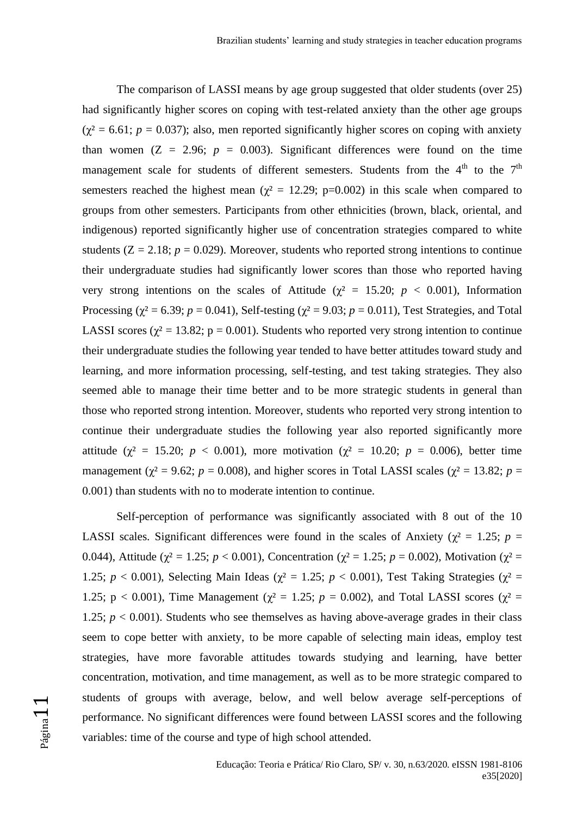The comparison of LASSI means by age group suggested that older students (over 25) had significantly higher scores on coping with test-related anxiety than the other age groups  $(\chi^2 = 6.61; p = 0.037)$ ; also, men reported significantly higher scores on coping with anxiety than women  $(Z = 2.96; p = 0.003)$ . Significant differences were found on the time management scale for students of different semesters. Students from the  $4<sup>th</sup>$  to the  $7<sup>th</sup>$ semesters reached the highest mean ( $\chi^2 = 12.29$ ; p=0.002) in this scale when compared to groups from other semesters. Participants from other ethnicities (brown, black, oriental, and indigenous) reported significantly higher use of concentration strategies compared to white students  $(Z = 2.18; p = 0.029)$ . Moreover, students who reported strong intentions to continue their undergraduate studies had significantly lower scores than those who reported having very strong intentions on the scales of Attitude ( $\chi^2$  = 15.20; *p* < 0.001), Information Processing ( $\chi^2$  = 6.39; *p* = 0.041), Self-testing ( $\chi^2$  = 9.03; *p* = 0.011), Test Strategies, and Total LASSI scores ( $\chi^2 = 13.82$ ; p = 0.001). Students who reported very strong intention to continue their undergraduate studies the following year tended to have better attitudes toward study and learning, and more information processing, self-testing, and test taking strategies. They also seemed able to manage their time better and to be more strategic students in general than those who reported strong intention. Moreover, students who reported very strong intention to continue their undergraduate studies the following year also reported significantly more attitude ( $\chi^2 = 15.20$ ;  $p < 0.001$ ), more motivation ( $\chi^2 = 10.20$ ;  $p = 0.006$ ), better time management ( $\chi^2$  = 9.62; *p* = 0.008), and higher scores in Total LASSI scales ( $\chi^2$  = 13.82; *p* = 0.001) than students with no to moderate intention to continue.

Self-perception of performance was significantly associated with 8 out of the 10 LASSI scales. Significant differences were found in the scales of Anxiety ( $\chi^2 = 1.25$ ; *p* = 0.044), Attitude ( $χ² = 1.25$ ;  $p < 0.001$ ), Concentration ( $χ² = 1.25$ ;  $p = 0.002$ ), Motivation ( $χ² =$ 1.25;  $p < 0.001$ ), Selecting Main Ideas ( $\chi^2 = 1.25$ ;  $p < 0.001$ ), Test Taking Strategies ( $\chi^2 =$ 1.25;  $p < 0.001$ ), Time Management ( $\chi^2 = 1.25$ ;  $p = 0.002$ ), and Total LASSI scores ( $\chi^2 =$ 1.25;  $p < 0.001$ ). Students who see themselves as having above-average grades in their class seem to cope better with anxiety, to be more capable of selecting main ideas, employ test strategies, have more favorable attitudes towards studying and learning, have better concentration, motivation, and time management, as well as to be more strategic compared to students of groups with average, below, and well below average self-perceptions of performance. No significant differences were found between LASSI scores and the following variables: time of the course and type of high school attended.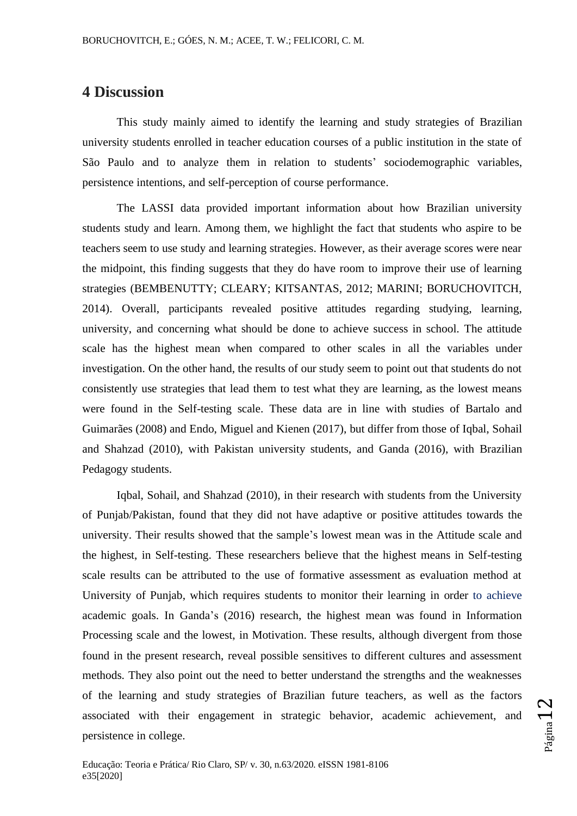## **4 Discussion**

This study mainly aimed to identify the learning and study strategies of Brazilian university students enrolled in teacher education courses of a public institution in the state of São Paulo and to analyze them in relation to students' sociodemographic variables, persistence intentions, and self-perception of course performance.

The LASSI data provided important information about how Brazilian university students study and learn. Among them, we highlight the fact that students who aspire to be teachers seem to use study and learning strategies. However, as their average scores were near the midpoint, this finding suggests that they do have room to improve their use of learning strategies (BEMBENUTTY; CLEARY; KITSANTAS, 2012; MARINI; BORUCHOVITCH, 2014). Overall, participants revealed positive attitudes regarding studying, learning, university, and concerning what should be done to achieve success in school. The attitude scale has the highest mean when compared to other scales in all the variables under investigation. On the other hand, the results of our study seem to point out that students do not consistently use strategies that lead them to test what they are learning, as the lowest means were found in the Self-testing scale. These data are in line with studies of Bartalo and Guimarães (2008) and Endo, Miguel and Kienen (2017), but differ from those of Iqbal, Sohail and Shahzad (2010), with Pakistan university students, and Ganda (2016), with Brazilian Pedagogy students.

Iqbal, Sohail, and Shahzad (2010), in their research with students from the University of Punjab/Pakistan, found that they did not have adaptive or positive attitudes towards the university. Their results showed that the sample's lowest mean was in the Attitude scale and the highest, in Self-testing. These researchers believe that the highest means in Self-testing scale results can be attributed to the use of formative assessment as evaluation method at University of Punjab, which requires students to monitor their learning in order to achieve academic goals. In Ganda's (2016) research, the highest mean was found in Information Processing scale and the lowest, in Motivation. These results, although divergent from those found in the present research, reveal possible sensitives to different cultures and assessment methods. They also point out the need to better understand the strengths and the weaknesses of the learning and study strategies of Brazilian future teachers, as well as the factors associated with their engagement in strategic behavior, academic achievement, and persistence in college.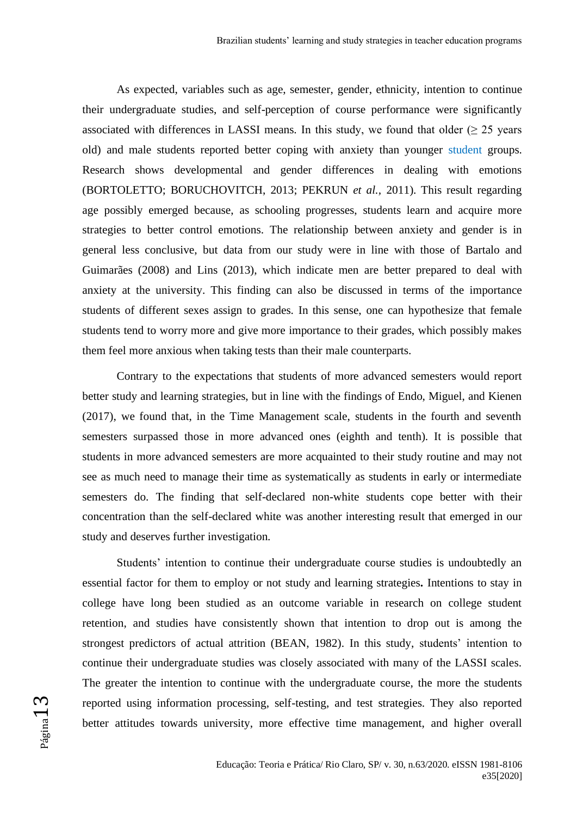As expected, variables such as age, semester, gender, ethnicity, intention to continue their undergraduate studies, and self-perception of course performance were significantly associated with differences in LASSI means. In this study, we found that older  $(\geq 25$  years old) and male students reported better coping with anxiety than younger student groups. Research shows developmental and gender differences in dealing with emotions (BORTOLETTO; BORUCHOVITCH, 2013; PEKRUN *et al.,* 2011). This result regarding age possibly emerged because, as schooling progresses, students learn and acquire more strategies to better control emotions. The relationship between anxiety and gender is in general less conclusive, but data from our study were in line with those of Bartalo and Guimarães (2008) and Lins (2013), which indicate men are better prepared to deal with anxiety at the university. This finding can also be discussed in terms of the importance students of different sexes assign to grades. In this sense, one can hypothesize that female students tend to worry more and give more importance to their grades, which possibly makes them feel more anxious when taking tests than their male counterparts.

Contrary to the expectations that students of more advanced semesters would report better study and learning strategies, but in line with the findings of Endo, Miguel, and Kienen (2017), we found that, in the Time Management scale, students in the fourth and seventh semesters surpassed those in more advanced ones (eighth and tenth). It is possible that students in more advanced semesters are more acquainted to their study routine and may not see as much need to manage their time as systematically as students in early or intermediate semesters do. The finding that self-declared non-white students cope better with their concentration than the self-declared white was another interesting result that emerged in our study and deserves further investigation.

Students' intention to continue their undergraduate course studies is undoubtedly an essential factor for them to employ or not study and learning strategies**.** Intentions to stay in college have long been studied as an outcome variable in research on college student retention, and studies have consistently shown that intention to drop out is among the strongest predictors of actual attrition (BEAN, 1982). In this study, students' intention to continue their undergraduate studies was closely associated with many of the LASSI scales. The greater the intention to continue with the undergraduate course, the more the students reported using information processing, self-testing, and test strategies. They also reported better attitudes towards university, more effective time management, and higher overall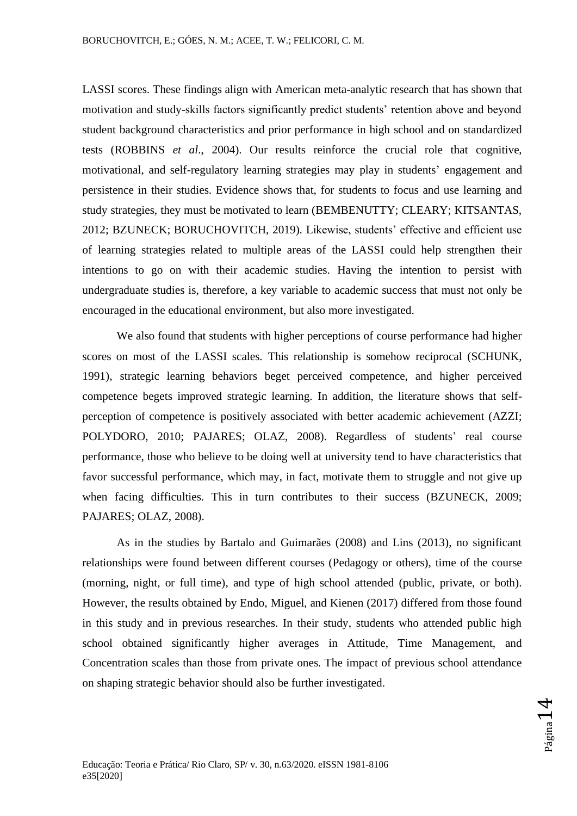LASSI scores. These findings align with American meta-analytic research that has shown that motivation and study-skills factors significantly predict students' retention above and beyond student background characteristics and prior performance in high school and on standardized tests (ROBBINS *et al*., 2004). Our results reinforce the crucial role that cognitive, motivational, and self-regulatory learning strategies may play in students' engagement and persistence in their studies. Evidence shows that, for students to focus and use learning and study strategies, they must be motivated to learn (BEMBENUTTY; CLEARY; KITSANTAS, 2012; BZUNECK; BORUCHOVITCH, 2019). Likewise, students' effective and efficient use of learning strategies related to multiple areas of the LASSI could help strengthen their intentions to go on with their academic studies. Having the intention to persist with undergraduate studies is, therefore, a key variable to academic success that must not only be encouraged in the educational environment, but also more investigated.

We also found that students with higher perceptions of course performance had higher scores on most of the LASSI scales. This relationship is somehow reciprocal (SCHUNK, 1991), strategic learning behaviors beget perceived competence, and higher perceived competence begets improved strategic learning. In addition, the literature shows that selfperception of competence is positively associated with better academic achievement (AZZI; POLYDORO, 2010; PAJARES; OLAZ, 2008). Regardless of students' real course performance, those who believe to be doing well at university tend to have characteristics that favor successful performance, which may, in fact, motivate them to struggle and not give up when facing difficulties. This in turn contributes to their success (BZUNECK, 2009; PAJARES; OLAZ, 2008).

As in the studies by Bartalo and Guimarães (2008) and Lins (2013), no significant relationships were found between different courses (Pedagogy or others), time of the course (morning, night, or full time), and type of high school attended (public, private, or both). However, the results obtained by Endo, Miguel, and Kienen (2017) differed from those found in this study and in previous researches. In their study, students who attended public high school obtained significantly higher averages in Attitude, Time Management, and Concentration scales than those from private ones. The impact of previous school attendance on shaping strategic behavior should also be further investigated.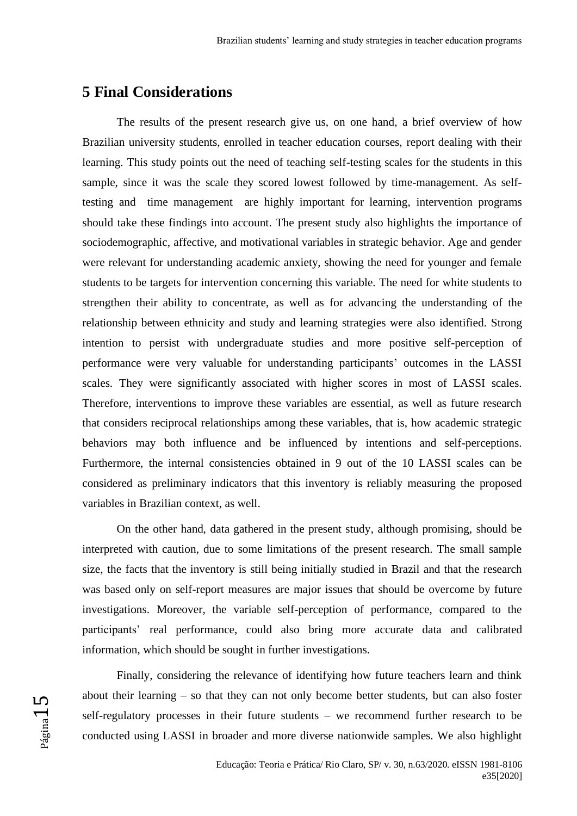# **5 Final Considerations**

The results of the present research give us, on one hand, a brief overview of how Brazilian university students, enrolled in teacher education courses, report dealing with their learning. This study points out the need of teaching self-testing scales for the students in this sample, since it was the scale they scored lowest followed by time-management. As selftesting and time management are highly important for learning, intervention programs should take these findings into account. The present study also highlights the importance of sociodemographic, affective, and motivational variables in strategic behavior. Age and gender were relevant for understanding academic anxiety, showing the need for younger and female students to be targets for intervention concerning this variable. The need for white students to strengthen their ability to concentrate, as well as for advancing the understanding of the relationship between ethnicity and study and learning strategies were also identified. Strong intention to persist with undergraduate studies and more positive self-perception of performance were very valuable for understanding participants' outcomes in the LASSI scales. They were significantly associated with higher scores in most of LASSI scales. Therefore, interventions to improve these variables are essential, as well as future research that considers reciprocal relationships among these variables, that is, how academic strategic behaviors may both influence and be influenced by intentions and self-perceptions. Furthermore, the internal consistencies obtained in 9 out of the 10 LASSI scales can be considered as preliminary indicators that this inventory is reliably measuring the proposed variables in Brazilian context, as well.

On the other hand, data gathered in the present study, although promising, should be interpreted with caution, due to some limitations of the present research. The small sample size, the facts that the inventory is still being initially studied in Brazil and that the research was based only on self-report measures are major issues that should be overcome by future investigations. Moreover, the variable self-perception of performance, compared to the participants' real performance, could also bring more accurate data and calibrated information, which should be sought in further investigations.

Finally, considering the relevance of identifying how future teachers learn and think about their learning – so that they can not only become better students, but can also foster self-regulatory processes in their future students – we recommend further research to be conducted using LASSI in broader and more diverse nationwide samples. We also highlight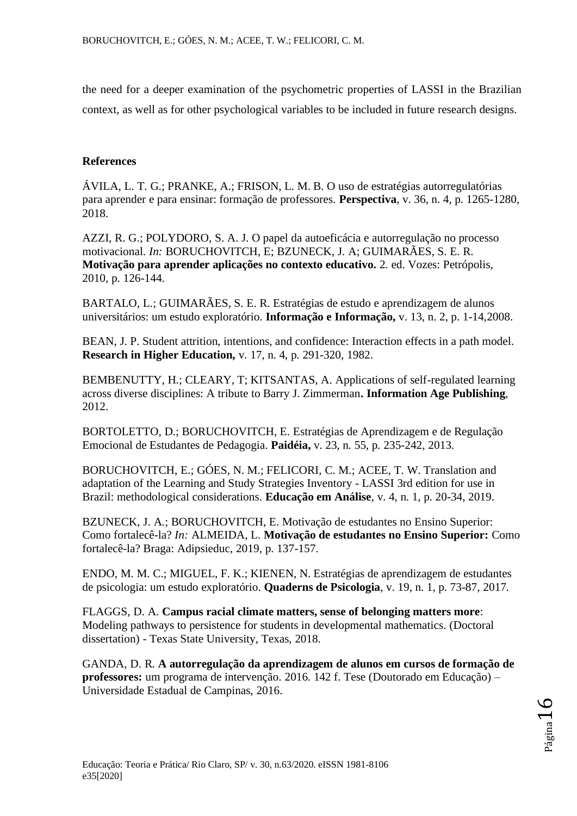the need for a deeper examination of the psychometric properties of LASSI in the Brazilian context, as well as for other psychological variables to be included in future research designs.

### **References**

ÁVILA, L. T. G.; PRANKE, A.; FRISON, L. M. B. O uso de estratégias autorregulatórias para aprender e para ensinar: formação de professores. **Perspectiva**, v. 36, n. 4, p. 1265-1280, 2018.

AZZI, R. G.; POLYDORO, S. A. J. O papel da autoeficácia e autorregulação no processo motivacional. *In:* BORUCHOVITCH, E; BZUNECK, J. A; GUIMARÃES, S. E. R. **Motivação para aprender aplicações no contexto educativo.** 2. ed. Vozes: Petrópolis, 2010, p. 126-144.

BARTALO, L.; GUIMARÃES, S. E. R. Estratégias de estudo e aprendizagem de alunos universitários: um estudo exploratório. **Informação e Informação,** v. 13, n. 2, p. 1-14,2008.

BEAN, J. P. Student attrition, intentions, and confidence: Interaction effects in a path model. **Research in Higher Education,** v. 17, n. 4, p. 291-320, 1982.

BEMBENUTTY, H.; CLEARY, T; KITSANTAS, A. Applications of self-regulated learning across diverse disciplines: A tribute to Barry J. Zimmerman**. Information Age Publishing**, 2012.

BORTOLETTO, D.; BORUCHOVITCH, E. Estratégias de Aprendizagem e de Regulação Emocional de Estudantes de Pedagogia. **Paidéia,** v. 23, n. 55, p. 235-242, 2013.

BORUCHOVITCH, E.; GÓES, N. M.; FELICORI, C. M.; ACEE, T. W. Translation and adaptation of the Learning and Study Strategies Inventory - LASSI 3rd edition for use in Brazil: methodological considerations. **Educação em Análise**, v. 4, n. 1, p. 20-34, 2019.

BZUNECK, J. A.; [BORUCHOVITCH, E.](http://lattes.cnpq.br/1980541978397999) Motivação de estudantes no Ensino Superior: Como fortalecê-la? *In:* ALMEIDA, L. **Motivação de estudantes no Ensino Superior:** Como fortalecê-la? Braga: Adipsieduc, 2019, p. 137-157.

ENDO, M. M. C.; MIGUEL, F. K.; KIENEN, N. Estratégias de aprendizagem de estudantes de psicologia: um estudo exploratório. **Quaderns de Psicologia**, v. 19, n. 1, p. 73-87, 2017.

FLAGGS, D. A. **Campus racial climate matters, sense of belonging matters more**: Modeling pathways to persistence for students in developmental mathematics. (Doctoral dissertation) - Texas State University, Texas, 2018.

GANDA, D. R. **A autorregulação da aprendizagem de alunos em cursos de formação de professores:** um programa de intervenção. 2016. 142 f. Tese (Doutorado em Educação) – Universidade Estadual de Campinas, 2016.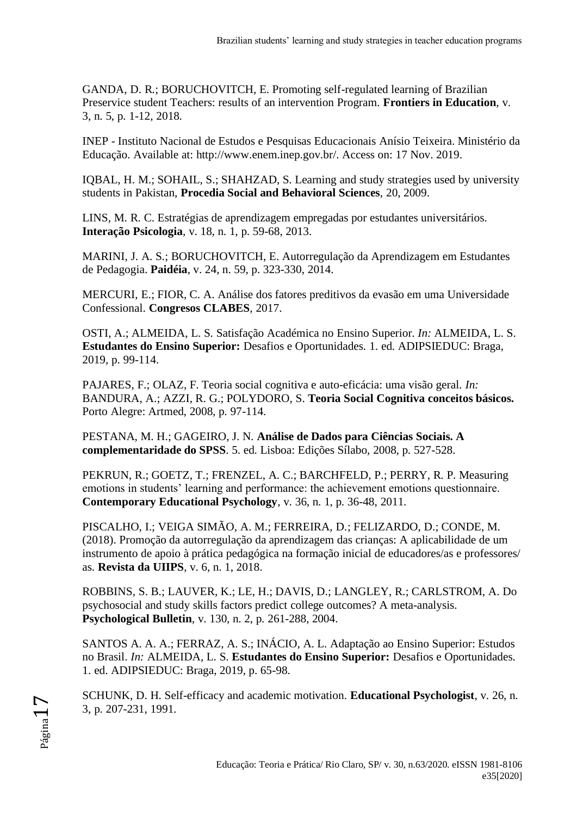GANDA, D. R.; BORUCHOVITCH, E. Promoting self-regulated learning of Brazilian Preservice student Teachers: results of an intervention Program. **Frontiers in Education**, v. 3, n. 5, p. 1-12, 2018.

INEP - Instituto Nacional de Estudos e Pesquisas Educacionais Anísio Teixeira. Ministério da Educação. Available at: http://www.enem.inep.gov.br/. Access on: 17 Nov. 2019.

IQBAL, H. M.; SOHAIL, S.; SHAHZAD, S. Learning and study strategies used by university students in Pakistan, **Procedia Social and Behavioral Sciences**, 20, 2009.

LINS, M. R. C. Estratégias de aprendizagem empregadas por estudantes universitários. **Interação Psicologia**, v. 18, n. 1, p. 59-68, 2013.

MARINI, J. A. S.; BORUCHOVITCH, E. Autorregulação da Aprendizagem em Estudantes de Pedagogia. **Paidéia**, v. 24, n. 59, p. 323-330, 2014.

MERCURI, E.; FIOR, C. A. Análise dos fatores preditivos da evasão em uma Universidade Confessional. **Congresos CLABES***,* 2017.

OSTI, A.; ALMEIDA, L. S. Satisfação Académica no Ensino Superior. *In:* ALMEIDA, L. S. **Estudantes do Ensino Superior:** Desafios e Oportunidades. 1. ed. ADIPSIEDUC: Braga, 2019, p. 99-114.

PAJARES, F.; OLAZ, F. Teoria social cognitiva e auto-eficácia: uma visão geral. *In:* BANDURA, A.; AZZI, R. G.; POLYDORO, S. **Teoria Social Cognitiva conceitos básicos.**  Porto Alegre: Artmed, 2008, p. 97-114.

PESTANA, M. H.; GAGEIRO, J. N. **Análise de Dados para Ciências Sociais. A complementaridade do SPSS**. 5. ed. Lisboa: Edições Sílabo, 2008, p. 527-528.

PEKRUN, R.; GOETZ, T.; FRENZEL, A. C.; BARCHFELD, P.; PERRY, R. P. Measuring emotions in students' learning and performance: the achievement emotions questionnaire. **Contemporary Educational Psychology**, v. 36, n. 1, p. 36-48, 2011.

PISCALHO, I.; VEIGA SIMÃO, A. M.; FERREIRA, D.; FELIZARDO, D.; CONDE, M. (2018). Promoção da autorregulação da aprendizagem das crianças: A aplicabilidade de um instrumento de apoio à prática pedagógica na formação inicial de educadores/as e professores/ as. **Revista da UIIPS**, v. 6, n. 1, 2018.

ROBBINS, S. B.; LAUVER, K.; LE, H.; DAVIS, D.; LANGLEY, R.; CARLSTROM, A. Do psychosocial and study skills factors predict college outcomes? A meta-analysis. **Psychological Bulletin***,* v. 130, n. 2, p. 261-288, 2004.

SANTOS A. A. A.; FERRAZ, A. S.; INÁCIO, A. L. Adaptação ao Ensino Superior: Estudos no Brasil. *In:* ALMEIDA, L. S. **Estudantes do Ensino Superior:** Desafios e Oportunidades. 1. ed. ADIPSIEDUC: Braga, 2019, p. 65-98.

SCHUNK, D. H. Self-efficacy and academic motivation. **Educational Psychologist**, v. 26, n. 3, p. 207-231, 1991.